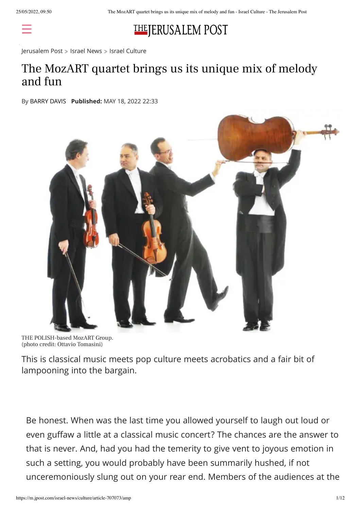

[Jerusalem](https://m.jpost.com/) Post > Israel [News](https://m.jpost.com/israel-news) > Israel [Culture](https://m.jpost.com/israel-news/culture)

### The MozART quartet brings us its unique mix of melody and fun

By [BARRY](https://m.jpost.com/author/barry-davis) DAVIS **Published:** MAY 18, 2022 22:33



THE POLISH-based MozART Group. (photo credit: Ottavio Tomasini)

This is classical music meets pop culture meets acrobatics and a fair bit of lampooning into the bargain.

Be honest. When was the last time you allowed yourself to laugh out loud or even guffaw a little at a classical music concert? The chances are the answer to that is never. And, had you had the temerity to give vent to joyous emotion in such a setting, you would probably have been summarily hushed, if not unceremoniously slung out on your rear end. Members of the audiences at the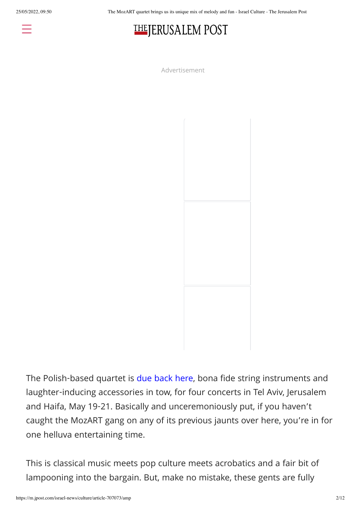25/05/2022, 09:50 The MozART quartet brings us its unique mix of melody and fun - Israel Culture - The Jerusalem Post



Advertisement



The Polish-based quartet is due [back](https://m.jpost.com/israel-news/culture/playing-for-laughs-456897/amp) here, bona fide string instruments and laughter-inducing accessories in tow, for four concerts in Tel Aviv, Jerusalem and Haifa, May 19-21. Basically and unceremoniously put, if you haven't caught the MozART gang on any of its previous jaunts over here, you're in for one helluva entertaining time.

This is classical music meets pop culture meets acrobatics and a fair bit of lampooning into the bargain. But, make no mistake, these gents are fully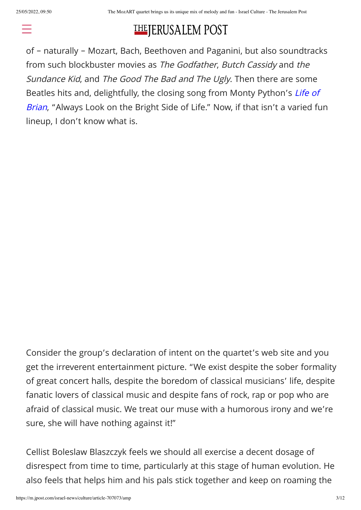#### THEJERUSALEM POST repertoire for the their four Israeli shows, for [example,](https://m.jpost.com/) the likes in works by the likes in works by the like

of – naturally – Mozart, Bach, Beethoven and Paganini, but also soundtracks from such blockbuster movies as The Godfather, Butch Cassidy and the Sundance Kid, and The Good The Bad and The Ugly. Then there are some Beatles hits and, [delightfully,](https://m.jpost.com/diaspora/antisemitism/monty-pythons-terry-jones-cut-a-nazi-jew-scene-from-life-of-brian-615038/amp) the closing song from Monty Python's Life of Brian, "Always Look on the Bright Side of Life." Now, if that isn't a varied fun lineup, I don't know what is.

Consider the group's declaration of intent on the quartet's web site and you get the irreverent entertainment picture. "We exist despite the sober formality of great concert halls, despite the boredom of classical musicians' life, despite fanatic lovers of classical music and despite fans of rock, rap or pop who are afraid of classical music. We treat our muse with a humorous irony and we're sure, she will have nothing against it!"

Cellist Boleslaw Blaszczyk feels we should all exercise a decent dosage of disrespect from time to time, particularly at this stage of human evolution. He also feels that helps him and his pals stick together and keep on roaming the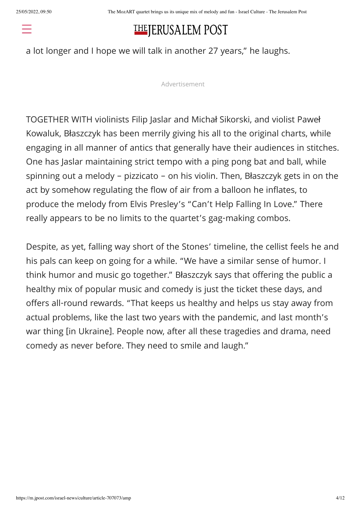#### THE JERUSALEM POST  $\mathcal{L}$  yes, we have been going to but the [Rolling](https://m.jpost.com/) Stones are going  $\mathcal{L}$

a lot longer and I hope we will talk in another 27 years," he laughs.

Advertisement

TOGETHER WITH violinists Filip Jaslar and Michał Sikorski, and violist Paweł Kowaluk, Błaszczyk has been merrily giving his all to the original charts, while engaging in all manner of antics that generally have their audiences in stitches. One has Jaslar maintaining strict tempo with a ping pong bat and ball, while spinning out a melody – pizzicato – on his violin. Then, Błaszczyk gets in on the act by somehow regulating the flow of air from a balloon he inflates, to produce the melody from Elvis Presley's "Can't Help Falling In Love." There really appears to be no limits to the quartet's gag-making combos.

Despite, as yet, falling way short of the Stones' timeline, the cellist feels he and his pals can keep on going for a while. "We have a similar sense of humor. I think humor and music go together." Błaszczyk says that offering the public a healthy mix of popular music and comedy is just the ticket these days, and offers all-round rewards. "That keeps us healthy and helps us stay away from actual problems, like the last two years with the pandemic, and last month's war thing [in Ukraine]. People now, after all these tragedies and drama, need comedy as never before. They need to smile and laugh."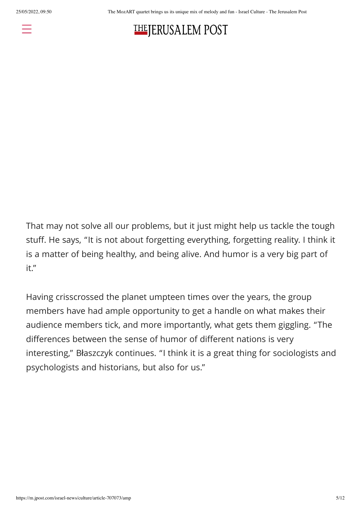

## **THEJERUSALEM POST**

That may not solve all our problems, but it just might help us tackle the tough stuff. He says, "It is not about forgetting everything, forgetting reality. I think it is a matter of being healthy, and being alive. And humor is a very big part of it."

Having crisscrossed the planet umpteen times over the years, the group members have had ample opportunity to get a handle on what makes their audience members tick, and more importantly, what gets them giggling. "The differences between the sense of humor of different nations is very interesting," Błaszczyk continues. "I think it is a great thing for sociologists and psychologists and historians, but also for us."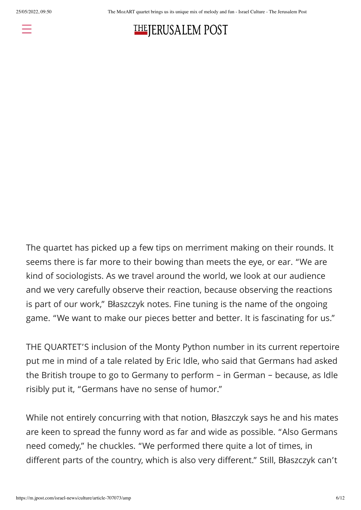



The quartet has picked up a few tips on merriment making on their rounds. It seems there is far more to their bowing than meets the eye, or ear. "We are kind of sociologists. As we travel around the world, we look at our audience and we very carefully observe their reaction, because observing the reactions is part of our work," Błaszczyk notes. Fine tuning is the name of the ongoing game. "We want to make our pieces better and better. It is fascinating for us."

THE QUARTET'S inclusion of the Monty Python number in its current repertoire put me in mind of a tale related by Eric Idle, who said that Germans had asked the British troupe to go to Germany to perform – in German – because, as Idle risibly put it, "Germans have no sense of humor."

While not entirely concurring with that notion, Błaszczyk says he and his mates are keen to spread the funny word as far and wide as possible. "Also Germans need comedy," he chuckles. "We performed there quite a lot of times, in different parts of the country, which is also very different." Still, Błaszczyk can't